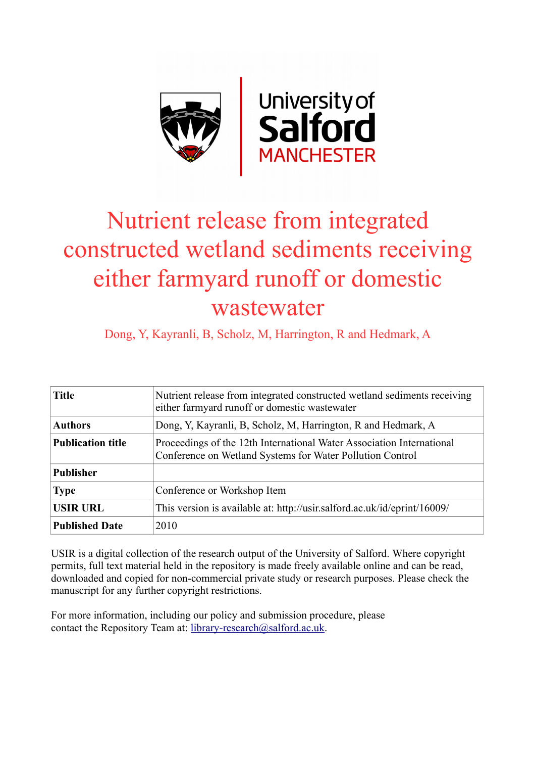

# Nutrient release from integrated constructed wetland sediments receiving either farmyard runoff or domestic wastewater

Dong, Y, Kayranli, B, Scholz, M, Harrington, R and Hedmark, A

| <b>Title</b>             | Nutrient release from integrated constructed wetland sediments receiving<br>either farmyard runoff or domestic wastewater          |  |  |  |  |  |  |  |
|--------------------------|------------------------------------------------------------------------------------------------------------------------------------|--|--|--|--|--|--|--|
| <b>Authors</b>           | Dong, Y, Kayranli, B, Scholz, M, Harrington, R and Hedmark, A                                                                      |  |  |  |  |  |  |  |
| <b>Publication title</b> | Proceedings of the 12th International Water Association International<br>Conference on Wetland Systems for Water Pollution Control |  |  |  |  |  |  |  |
| <b>Publisher</b>         |                                                                                                                                    |  |  |  |  |  |  |  |
| <b>Type</b>              | Conference or Workshop Item                                                                                                        |  |  |  |  |  |  |  |
| <b>USIR URL</b>          | This version is available at: http://usir.salford.ac.uk/id/eprint/16009/                                                           |  |  |  |  |  |  |  |
| <b>Published Date</b>    | 2010                                                                                                                               |  |  |  |  |  |  |  |

USIR is a digital collection of the research output of the University of Salford. Where copyright permits, full text material held in the repository is made freely available online and can be read, downloaded and copied for non-commercial private study or research purposes. Please check the manuscript for any further copyright restrictions.

For more information, including our policy and submission procedure, please contact the Repository Team at: [library-research@salford.ac.uk.](mailto:library-research@salford.ac.uk)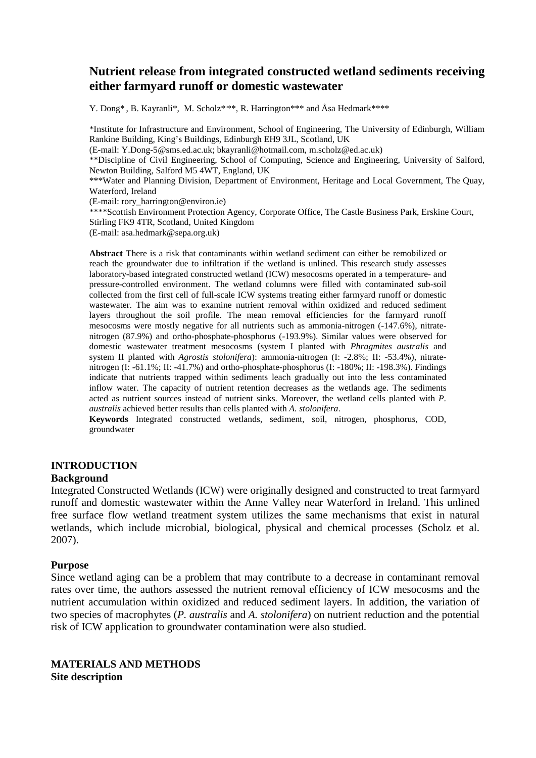# **Nutrient release from integrated constructed wetland sediments receiving either farmyard runoff or domestic wastewater**

Y. Dong\*, B. Kayranli\*, M. Scholz\*\*\*, R. Harrington\*\*\* and Åsa Hedmark\*\*\*\*

\*Institute for Infrastructure and Environment, School of Engineering, The University of Edinburgh, William Rankine Building, King's Buildings, Edinburgh EH9 3JL, Scotland, UK (E-mail: Y.Dong-5@sms.ed.ac.uk; [bkayranli@hotmail.com,](mailto:bkayranli@hotmail.com) [m.scholz@ed.ac.uk\)](mailto:m.scholz@ed.ac.uk) \*\*Discipline of Civil Engineering, School of Computing, Science and Engineering, University of Salford, Newton Building, Salford M5 4WT, England, UK \*\*\*Water and Planning Division, Department of Environment, Heritage and Local Government, The Quay, Waterford, Ireland (E-mail: rory\_harrington@environ.ie) \*\*\*\*Scottish Environment Protection Agency, Corporate Office, The Castle Business Park, Erskine Court,

Stirling FK9 4TR, Scotland, United Kingdom

(E-mail: asa.hedmark@sepa.org.uk)

**Abstract** There is a risk that contaminants within wetland sediment can either be remobilized or reach the groundwater due to infiltration if the wetland is unlined. This research study assesses laboratory-based integrated constructed wetland (ICW) mesocosms operated in a temperature- and pressure-controlled environment. The wetland columns were filled with contaminated sub-soil collected from the first cell of full-scale ICW systems treating either farmyard runoff or domestic wastewater. The aim was to examine nutrient removal within oxidized and reduced sediment layers throughout the soil profile. The mean removal efficiencies for the farmyard runoff mesocosms were mostly negative for all nutrients such as ammonia-nitrogen (-147.6%), nitratenitrogen (87.9%) and ortho-phosphate-phosphorus (-193.9%). Similar values were observed for domestic wastewater treatment mesocosms (system I planted with *Phragmites australis* and system II planted with *Agrostis stolonifera*): ammonia-nitrogen (I: -2.8%; II: -53.4%), nitratenitrogen (I: -61.1%; II: -41.7%) and ortho-phosphate-phosphorus (I: -180%; II: -198.3%). Findings indicate that nutrients trapped within sediments leach gradually out into the less contaminated inflow water. The capacity of nutrient retention decreases as the wetlands age. The sediments acted as nutrient sources instead of nutrient sinks. Moreover, the wetland cells planted with *P. australis* achieved better results than cells planted with *A. stolonifera*.

**Keywords** Integrated constructed wetlands, sediment, soil, nitrogen, phosphorus, COD, groundwater

## **INTRODUCTION**

#### **Background**

Integrated Constructed Wetlands (ICW) were originally designed and constructed to treat farmyard runoff and domestic wastewater within the Anne Valley near Waterford in Ireland. This unlined free surface flow wetland treatment system utilizes the same mechanisms that exist in natural wetlands, which include microbial, biological, physical and chemical processes (Scholz et al. 2007).

#### **Purpose**

Since wetland aging can be a problem that may contribute to a decrease in contaminant removal rates over time, the authors assessed the nutrient removal efficiency of ICW mesocosms and the nutrient accumulation within oxidized and reduced sediment layers. In addition, the variation of two species of macrophytes (*P. australis* and *A. stolonifera*) on nutrient reduction and the potential risk of ICW application to groundwater contamination were also studied.

**MATERIALS AND METHODS Site description**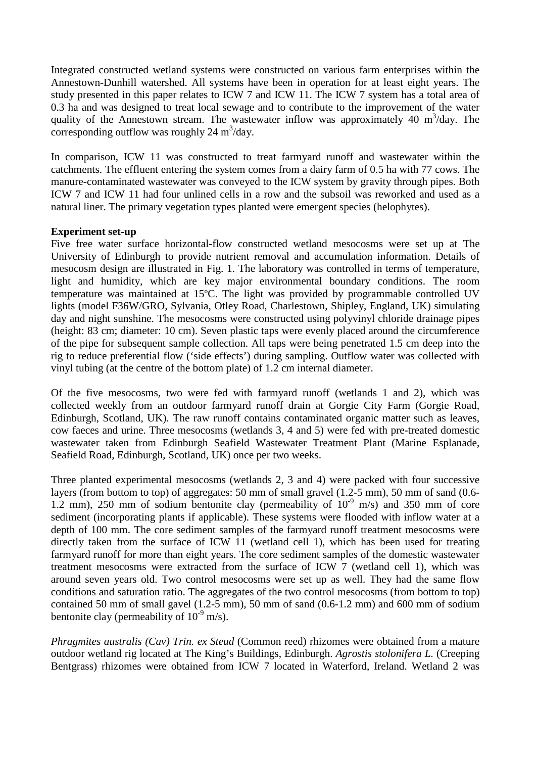Integrated constructed wetland systems were constructed on various farm enterprises within the Annestown-Dunhill watershed. All systems have been in operation for at least eight years. The study presented in this paper relates to ICW 7 and ICW 11. The ICW 7 system has a total area of 0.3 ha and was designed to treat local sewage and to contribute to the improvement of the water quality of the Annestown stream. The wastewater inflow was approximately 40  $m^3$ /day. The corresponding outflow was roughly  $24 \text{ m}^3/\text{day}$ .

In comparison, ICW 11 was constructed to treat farmyard runoff and wastewater within the catchments. The effluent entering the system comes from a dairy farm of 0.5 ha with 77 cows. The manure-contaminated wastewater was conveyed to the ICW system by gravity through pipes. Both ICW 7 and ICW 11 had four unlined cells in a row and the subsoil was reworked and used as a natural liner. The primary vegetation types planted were emergent species (helophytes).

# **Experiment set-up**

Five free water surface horizontal-flow constructed wetland mesocosms were set up at The University of Edinburgh to provide nutrient removal and accumulation information. Details of mesocosm design are illustrated in Fig. 1. The laboratory was controlled in terms of temperature, light and humidity, which are key major environmental boundary conditions. The room temperature was maintained at 15ºC. The light was provided by programmable controlled UV lights (model F36W/GRO, Sylvania, Otley Road, Charlestown, Shipley, England, UK) simulating day and night sunshine. The mesocosms were constructed using polyvinyl chloride drainage pipes (height: 83 cm; diameter: 10 cm). Seven plastic taps were evenly placed around the circumference of the pipe for subsequent sample collection. All taps were being penetrated 1.5 cm deep into the rig to reduce preferential flow ('side effects') during sampling. Outflow water was collected with vinyl tubing (at the centre of the bottom plate) of 1.2 cm internal diameter.

Of the five mesocosms, two were fed with farmyard runoff (wetlands 1 and 2), which was collected weekly from an outdoor farmyard runoff drain at Gorgie City Farm (Gorgie Road, Edinburgh, Scotland, UK). The raw runoff contains contaminated organic matter such as leaves, cow faeces and urine. Three mesocosms (wetlands 3, 4 and 5) were fed with pre-treated domestic wastewater taken from Edinburgh Seafield Wastewater Treatment Plant (Marine Esplanade, Seafield Road, Edinburgh, Scotland, UK) once per two weeks.

Three planted experimental mesocosms (wetlands 2, 3 and 4) were packed with four successive layers (from bottom to top) of aggregates: 50 mm of small gravel (1.2-5 mm), 50 mm of sand (0.6- 1.2 mm), 250 mm of sodium bentonite clay (permeability of  $10^{-9}$  m/s) and 350 mm of core sediment (incorporating plants if applicable). These systems were flooded with inflow water at a depth of 100 mm. The core sediment samples of the farmyard runoff treatment mesocosms were directly taken from the surface of ICW 11 (wetland cell 1), which has been used for treating farmyard runoff for more than eight years. The core sediment samples of the domestic wastewater treatment mesocosms were extracted from the surface of ICW 7 (wetland cell 1), which was around seven years old. Two control mesocosms were set up as well. They had the same flow conditions and saturation ratio. The aggregates of the two control mesocosms (from bottom to top) contained 50 mm of small gavel (1.2-5 mm), 50 mm of sand (0.6-1.2 mm) and 600 mm of sodium bentonite clay (permeability of  $10^{-9}$  m/s).

*Phragmites australis (Cav) Trin. ex Steud* (Common reed) rhizomes were obtained from a mature outdoor wetland rig located at The King's Buildings, Edinburgh. *Agrostis stolonifera L.* (Creeping Bentgrass) rhizomes were obtained from ICW 7 located in Waterford, Ireland. Wetland 2 was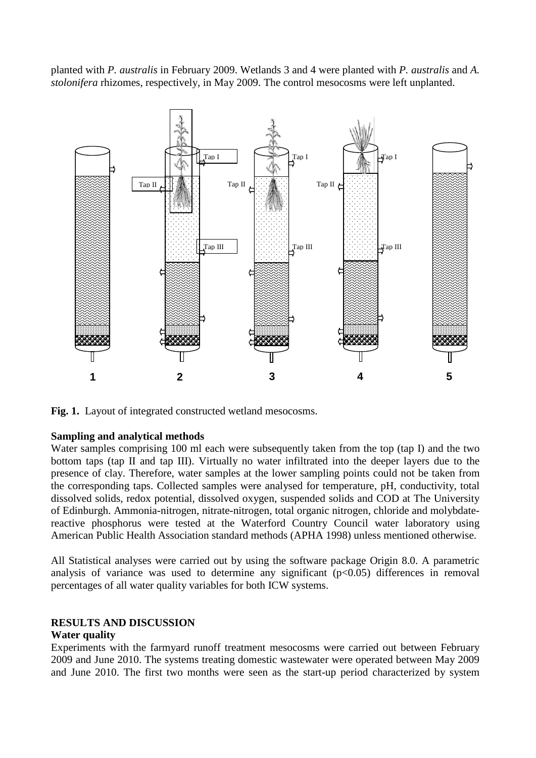planted with *P. australis* in February 2009. Wetlands 3 and 4 were planted with *P. australis* and *A. stolonifera* rhizomes, respectively, in May 2009. The control mesocosms were left unplanted.



Fig. 1. Layout of integrated constructed wetland mesocosms.

## **Sampling and analytical methods**

Water samples comprising 100 ml each were subsequently taken from the top (tap I) and the two bottom taps (tap II and tap III). Virtually no water infiltrated into the deeper layers due to the presence of clay. Therefore, water samples at the lower sampling points could not be taken from the corresponding taps. Collected samples were analysed for temperature, pH, conductivity, total dissolved solids, redox potential, dissolved oxygen, suspended solids and COD at The University of Edinburgh. Ammonia-nitrogen, nitrate-nitrogen, total organic nitrogen, chloride and molybdatereactive phosphorus were tested at the Waterford Country Council water laboratory using American Public Health Association standard methods (APHA 1998) unless mentioned otherwise.

All Statistical analyses were carried out by using the software package Origin 8.0. A parametric analysis of variance was used to determine any significant  $(p<0.05)$  differences in removal percentages of all water quality variables for both ICW systems.

## **RESULTS AND DISCUSSION**

## **Water quality**

Experiments with the farmyard runoff treatment mesocosms were carried out between February 2009 and June 2010. The systems treating domestic wastewater were operated between May 2009 and June 2010. The first two months were seen as the start-up period characterized by system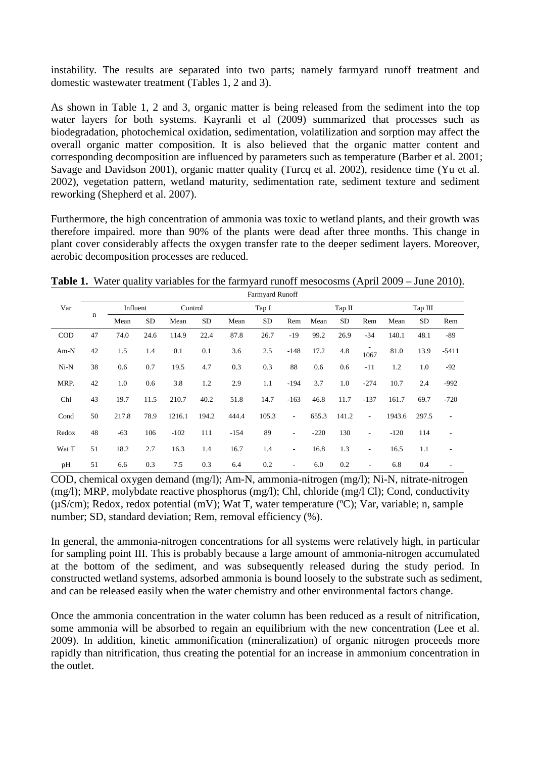instability. The results are separated into two parts; namely farmyard runoff treatment and domestic wastewater treatment (Tables 1, 2 and 3).

As shown in Table 1, 2 and 3, organic matter is being released from the sediment into the top water layers for both systems. Kayranli et al (2009) summarized that processes such as biodegradation, photochemical oxidation, sedimentation, volatilization and sorption may affect the overall organic matter composition. It is also believed that the organic matter content and corresponding decomposition are influenced by parameters such as temperature (Barber et al. 2001; Savage and Davidson 2001), organic matter quality (Turcq et al. 2002), residence time (Yu et al. 2002), vegetation pattern, wetland maturity, sedimentation rate, sediment texture and sediment reworking (Shepherd et al. 2007).

Furthermore, the high concentration of ammonia was toxic to wetland plants, and their growth was therefore impaired. more than 90% of the plants were dead after three months. This change in plant cover considerably affects the oxygen transfer rate to the deeper sediment layers. Moreover, aerobic decomposition processes are reduced.

**Table 1.** Water quality variables for the farmyard runoff mesocosms (April 2009 – June 2010).  $\frac{1}{2}$  Runoff

|            | ганнуага кинон |          |           |         |       |        |           |                          |        |       |                          |         |           |                          |
|------------|----------------|----------|-----------|---------|-------|--------|-----------|--------------------------|--------|-------|--------------------------|---------|-----------|--------------------------|
| Var        |                | Influent |           | Control |       | Tap I  |           |                          | Tap II |       |                          | Tap III |           |                          |
|            | $\mathbf n$    | Mean     | <b>SD</b> | Mean    | SD    | Mean   | <b>SD</b> | Rem                      | Mean   | SD    | Rem                      | Mean    | <b>SD</b> | Rem                      |
| <b>COD</b> | 47             | 74.0     | 24.6      | 114.9   | 22.4  | 87.8   | 26.7      | $-19$                    | 99.2   | 26.9  | $-34$                    | 140.1   | 48.1      | $-89$                    |
| $Am-N$     | 42             | 1.5      | 1.4       | 0.1     | 0.1   | 3.6    | 2.5       | $-148$                   | 17.2   | 4.8   | 1067                     | 81.0    | 13.9      | $-5411$                  |
| $Ni-N$     | 38             | 0.6      | 0.7       | 19.5    | 4.7   | 0.3    | 0.3       | 88                       | 0.6    | 0.6   | $-11$                    | 1.2     | 1.0       | $-92$                    |
| MRP.       | 42             | 1.0      | 0.6       | 3.8     | 1.2   | 2.9    | 1.1       | $-194$                   | 3.7    | 1.0   | $-274$                   | 10.7    | 2.4       | $-992$                   |
| Chl        | 43             | 19.7     | 11.5      | 210.7   | 40.2  | 51.8   | 14.7      | $-163$                   | 46.8   | 11.7  | $-137$                   | 161.7   | 69.7      | $-720$                   |
| Cond       | 50             | 217.8    | 78.9      | 1216.1  | 194.2 | 444.4  | 105.3     | $\overline{\phantom{a}}$ | 655.3  | 141.2 | $\overline{\phantom{a}}$ | 1943.6  | 297.5     | $\overline{\phantom{a}}$ |
| Redox      | 48             | $-63$    | 106       | $-102$  | 111   | $-154$ | 89        | $\overline{\phantom{a}}$ | $-220$ | 130   |                          | $-120$  | 114       | $\overline{\phantom{a}}$ |
| Wat T      | 51             | 18.2     | 2.7       | 16.3    | 1.4   | 16.7   | 1.4       | ٠                        | 16.8   | 1.3   | $\overline{\phantom{a}}$ | 16.5    | 1.1       | $\overline{\phantom{a}}$ |
| pH         | 51             | 6.6      | 0.3       | 7.5     | 0.3   | 6.4    | 0.2       | $\sim$                   | 6.0    | 0.2   | $\overline{\phantom{a}}$ | 6.8     | 0.4       | $\overline{\phantom{a}}$ |

COD, chemical oxygen demand (mg/l); Am-N, ammonia-nitrogen (mg/l); Ni-N, nitrate-nitrogen (mg/l); MRP, molybdate reactive phosphorus (mg/l); Chl, chloride (mg/l Cl); Cond, conductivity (µS/cm); Redox, redox potential (mV); Wat T, water temperature (ºC); Var, variable; n, sample number; SD, standard deviation; Rem, removal efficiency  $%$ ).

In general, the ammonia-nitrogen concentrations for all systems were relatively high, in particular for sampling point III. This is probably because a large amount of ammonia-nitrogen accumulated at the bottom of the sediment, and was subsequently released during the study period. In constructed wetland systems, adsorbed ammonia is bound loosely to the substrate such as sediment, and can be released easily when the water chemistry and other environmental factors change.

Once the ammonia concentration in the water column has been reduced as a result of nitrification, some ammonia will be absorbed to regain an equilibrium with the new concentration (Lee et al. 2009). In addition, kinetic ammonification (mineralization) of organic nitrogen proceeds more rapidly than nitrification, thus creating the potential for an increase in ammonium concentration in the outlet.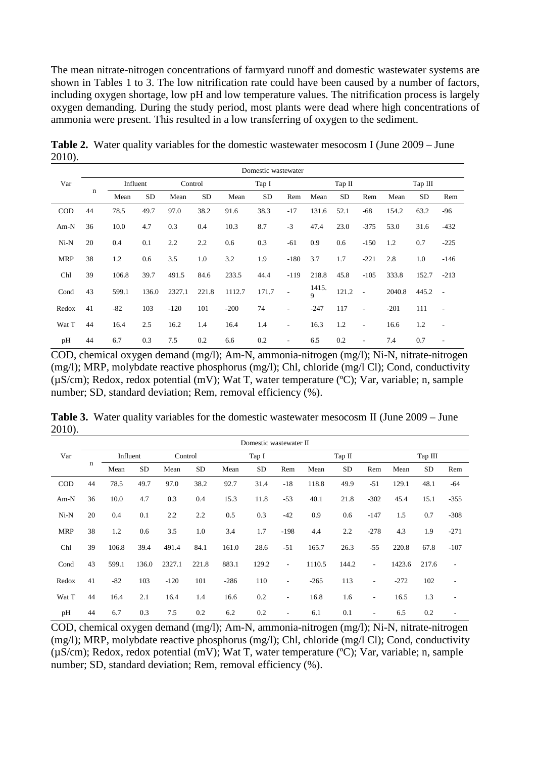The mean nitrate-nitrogen concentrations of farmyard runoff and domestic wastewater systems are shown in Tables 1 to 3. The low nitrification rate could have been caused by a number of factors, including oxygen shortage, low pH and low temperature values. The nitrification process is largely oxygen demanding. During the study period, most plants were dead where high concentrations of ammonia were present. This resulted in a low transferring of oxygen to the sediment.

|            |    | Domestic wastewater |           |         |           |        |           |                          |                      |           |                          |         |           |                          |
|------------|----|---------------------|-----------|---------|-----------|--------|-----------|--------------------------|----------------------|-----------|--------------------------|---------|-----------|--------------------------|
| Var        |    | Influent            |           | Control |           | Tap I  |           |                          | Тар II               |           |                          | Tap III |           |                          |
|            | n  | Mean                | <b>SD</b> | Mean    | <b>SD</b> | Mean   | <b>SD</b> | Rem                      | Mean                 | <b>SD</b> | Rem                      | Mean    | <b>SD</b> | Rem                      |
| <b>COD</b> | 44 | 78.5                | 49.7      | 97.0    | 38.2      | 91.6   | 38.3      | $-17$                    | 131.6                | 52.1      | $-68$                    | 154.2   | 63.2      | $-96$                    |
| $Am-N$     | 36 | 10.0                | 4.7       | 0.3     | 0.4       | 10.3   | 8.7       | $-3$                     | 47.4                 | 23.0      | $-375$                   | 53.0    | 31.6      | $-432$                   |
| $Ni-N$     | 20 | 0.4                 | 0.1       | 2.2     | 2.2       | 0.6    | 0.3       | $-61$                    | 0.9                  | 0.6       | $-150$                   | 1.2     | 0.7       | $-225$                   |
| <b>MRP</b> | 38 | 1.2                 | 0.6       | 3.5     | 1.0       | 3.2    | 1.9       | $-180$                   | 3.7                  | 1.7       | $-221$                   | 2.8     | 1.0       | $-146$                   |
| Chl        | 39 | 106.8               | 39.7      | 491.5   | 84.6      | 233.5  | 44.4      | $-119$                   | 218.8                | 45.8      | $-105$                   | 333.8   | 152.7     | $-213$                   |
| Cond       | 43 | 599.1               | 136.0     | 2327.1  | 221.8     | 1112.7 | 171.7     | $\overline{\phantom{a}}$ | 1415.<br>$\mathbf Q$ | 121.2     | $\overline{\phantom{a}}$ | 2040.8  | 445.2     | $\overline{\phantom{a}}$ |
| Redox      | 41 | $-82$               | 103       | $-120$  | 101       | $-200$ | 74        | $\overline{\phantom{a}}$ | $-247$               | 117       | $\overline{\phantom{a}}$ | $-201$  | 111       | $\overline{\phantom{a}}$ |
| Wat T      | 44 | 16.4                | 2.5       | 16.2    | 1.4       | 16.4   | 1.4       | $\overline{\phantom{a}}$ | 16.3                 | 1.2       | $\overline{\phantom{m}}$ | 16.6    | 1.2       | $\overline{\phantom{a}}$ |
| pH         | 44 | 6.7                 | 0.3       | 7.5     | 0.2       | 6.6    | 0.2       | $\overline{\phantom{a}}$ | 6.5                  | 0.2       | $\overline{\phantom{m}}$ | 7.4     | 0.7       | ٠                        |

**Table 2.** Water quality variables for the domestic wastewater mesocosm I (June 2009 – June 2010).

COD, chemical oxygen demand (mg/l); Am-N, ammonia-nitrogen (mg/l); Ni-N, nitrate-nitrogen (mg/l); MRP, molybdate reactive phosphorus (mg/l); Chl, chloride (mg/l Cl); Cond, conductivity  $(uS/cm)$ ; Redox, redox potential (mV); Wat T, water temperature (°C); Var, variable; n, sample number; SD, standard deviation; Rem, removal efficiency (%).

**Table 3.** Water quality variables for the domestic wastewater mesocosm II (June 2009 – June 2010).

|            | Domestic wastewater II |          |           |         |           |        |           |                          |        |       |                          |         |           |                          |
|------------|------------------------|----------|-----------|---------|-----------|--------|-----------|--------------------------|--------|-------|--------------------------|---------|-----------|--------------------------|
| Var        | n                      | Influent |           | Control |           | Tap I  |           |                          | Tap II |       |                          | Tap III |           |                          |
|            |                        | Mean     | <b>SD</b> | Mean    | <b>SD</b> | Mean   | <b>SD</b> | Rem                      | Mean   | SD    | Rem                      | Mean    | <b>SD</b> | Rem                      |
| <b>COD</b> | 44                     | 78.5     | 49.7      | 97.0    | 38.2      | 92.7   | 31.4      | $-18$                    | 118.8  | 49.9  | $-51$                    | 129.1   | 48.1      | -64                      |
| $Am-N$     | 36                     | 10.0     | 4.7       | 0.3     | 0.4       | 15.3   | 11.8      | $-53$                    | 40.1   | 21.8  | $-302$                   | 45.4    | 15.1      | $-355$                   |
| $Ni-N$     | 20                     | 0.4      | 0.1       | 2.2     | 2.2       | 0.5    | 0.3       | $-42$                    | 0.9    | 0.6   | $-147$                   | 1.5     | 0.7       | $-308$                   |
| <b>MRP</b> | 38                     | 1.2      | 0.6       | 3.5     | 1.0       | 3.4    | 1.7       | $-198$                   | 4.4    | 2.2   | $-278$                   | 4.3     | 1.9       | $-271$                   |
| Chl        | 39                     | 106.8    | 39.4      | 491.4   | 84.1      | 161.0  | 28.6      | $-51$                    | 165.7  | 26.3  | $-55$                    | 220.8   | 67.8      | $-107$                   |
| Cond       | 43                     | 599.1    | 136.0     | 2327.1  | 221.8     | 883.1  | 129.2     | ٠                        | 1110.5 | 144.2 | Ξ.                       | 1423.6  | 217.6     | $\overline{\phantom{a}}$ |
| Redox      | 41                     | $-82$    | 103       | $-120$  | 101       | $-286$ | 110       | $\overline{\phantom{a}}$ | $-265$ | 113   | $\overline{\phantom{0}}$ | $-272$  | 102       | $\overline{\phantom{a}}$ |
| Wat T      | 44                     | 16.4     | 2.1       | 16.4    | 1.4       | 16.6   | 0.2       | $\sim$                   | 16.8   | 1.6   | ۰                        | 16.5    | 1.3       | $\overline{\phantom{a}}$ |
| pH         | 44                     | 6.7      | 0.3       | 7.5     | 0.2       | 6.2    | 0.2       | $\overline{\phantom{m}}$ | 6.1    | 0.1   | $\overline{\phantom{0}}$ | 6.5     | 0.2       | $\overline{\phantom{a}}$ |

COD, chemical oxygen demand (mg/l); Am-N, ammonia-nitrogen (mg/l); Ni-N, nitrate-nitrogen (mg/l); MRP, molybdate reactive phosphorus (mg/l); Chl, chloride (mg/l Cl); Cond, conductivity (µS/cm); Redox, redox potential (mV); Wat T, water temperature (ºC); Var, variable; n, sample number; SD, standard deviation; Rem, removal efficiency  $(\% )$ .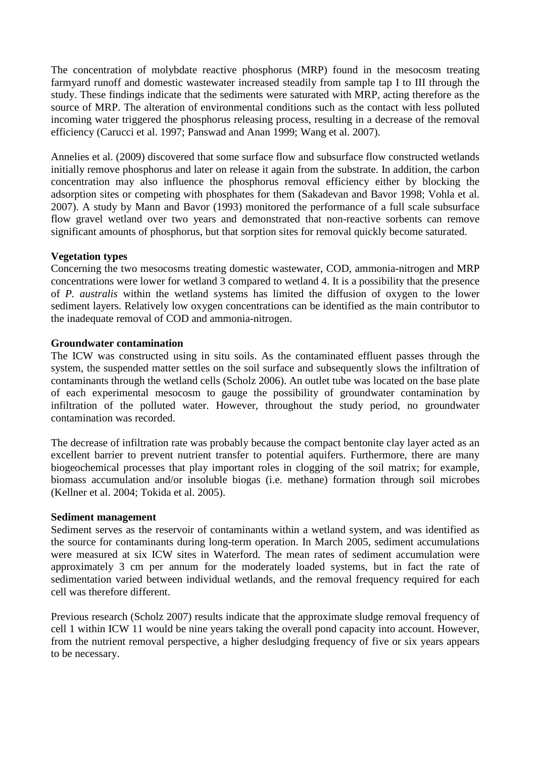The concentration of molybdate reactive phosphorus (MRP) found in the mesocosm treating farmyard runoff and domestic wastewater increased steadily from sample tap I to III through the study. These findings indicate that the sediments were saturated with MRP, acting therefore as the source of MRP. The alteration of environmental conditions such as the contact with less polluted incoming water triggered the phosphorus releasing process, resulting in a decrease of the removal efficiency (Carucci et al. 1997; Panswad and Anan 1999; Wang et al. 2007).

Annelies et al. (2009) discovered that some surface flow and subsurface flow constructed wetlands initially remove phosphorus and later on release it again from the substrate. In addition, the carbon concentration may also influence the phosphorus removal efficiency either by blocking the adsorption sites or competing with phosphates for them (Sakadevan and Bavor 1998; Vohla et al. 2007). A study by Mann and Bavor (1993) monitored the performance of a full scale subsurface flow gravel wetland over two years and demonstrated that non-reactive sorbents can remove significant amounts of phosphorus, but that sorption sites for removal quickly become saturated.

# **Vegetation types**

Concerning the two mesocosms treating domestic wastewater, COD, ammonia-nitrogen and MRP concentrations were lower for wetland 3 compared to wetland 4. It is a possibility that the presence of *P. australis* within the wetland systems has limited the diffusion of oxygen to the lower sediment layers. Relatively low oxygen concentrations can be identified as the main contributor to the inadequate removal of COD and ammonia-nitrogen.

## **Groundwater contamination**

The ICW was constructed using in situ soils. As the contaminated effluent passes through the system, the suspended matter settles on the soil surface and subsequently slows the infiltration of contaminants through the wetland cells (Scholz 2006). An outlet tube was located on the base plate of each experimental mesocosm to gauge the possibility of groundwater contamination by infiltration of the polluted water. However, throughout the study period, no groundwater contamination was recorded.

The decrease of infiltration rate was probably because the compact bentonite clay layer acted as an excellent barrier to prevent nutrient transfer to potential aquifers. Furthermore, there are many biogeochemical processes that play important roles in clogging of the soil matrix; for example, biomass accumulation and/or insoluble biogas (i.e. methane) formation through soil microbes (Kellner et al. 2004; Tokida et al. 2005).

## **Sediment management**

Sediment serves as the reservoir of contaminants within a wetland system, and was identified as the source for contaminants during long-term operation. In March 2005, sediment accumulations were measured at six ICW sites in Waterford. The mean rates of sediment accumulation were approximately 3 cm per annum for the moderately loaded systems, but in fact the rate of sedimentation varied between individual wetlands, and the removal frequency required for each cell was therefore different.

Previous research (Scholz 2007) results indicate that the approximate sludge removal frequency of cell 1 within ICW 11 would be nine years taking the overall pond capacity into account. However, from the nutrient removal perspective, a higher desludging frequency of five or six years appears to be necessary.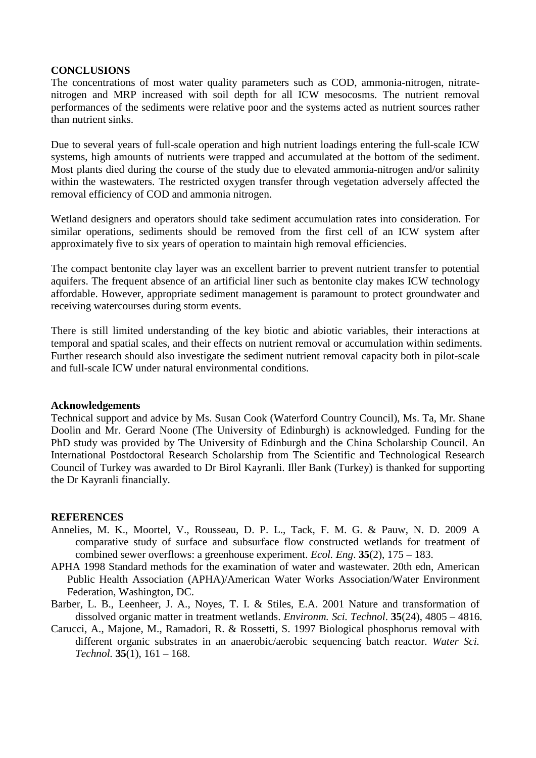## **CONCLUSIONS**

The concentrations of most water quality parameters such as COD, ammonia-nitrogen, nitratenitrogen and MRP increased with soil depth for all ICW mesocosms. The nutrient removal performances of the sediments were relative poor and the systems acted as nutrient sources rather than nutrient sinks.

Due to several years of full-scale operation and high nutrient loadings entering the full-scale ICW systems, high amounts of nutrients were trapped and accumulated at the bottom of the sediment. Most plants died during the course of the study due to elevated ammonia-nitrogen and/or salinity within the wastewaters. The restricted oxygen transfer through vegetation adversely affected the removal efficiency of COD and ammonia nitrogen.

Wetland designers and operators should take sediment accumulation rates into consideration. For similar operations, sediments should be removed from the first cell of an ICW system after approximately five to six years of operation to maintain high removal efficiencies.

The compact bentonite clay layer was an excellent barrier to prevent nutrient transfer to potential aquifers. The frequent absence of an artificial liner such as bentonite clay makes ICW technology affordable. However, appropriate sediment management is paramount to protect groundwater and receiving watercourses during storm events.

There is still limited understanding of the key biotic and abiotic variables, their interactions at temporal and spatial scales, and their effects on nutrient removal or accumulation within sediments. Further research should also investigate the sediment nutrient removal capacity both in pilot-scale and full-scale ICW under natural environmental conditions.

#### **Acknowledgements**

Technical support and advice by Ms. Susan Cook (Waterford Country Council), Ms. Ta, Mr. Shane Doolin and Mr. Gerard Noone (The University of Edinburgh) is acknowledged. Funding for the PhD study was provided by The University of Edinburgh and the China Scholarship Council. An International Postdoctoral Research Scholarship from The Scientific and Technological Research Council of Turkey was awarded to Dr Birol Kayranli. Iller Bank (Turkey) is thanked for supporting the Dr Kayranli financially.

#### **REFERENCES**

- Annelies, M. K., Moortel, V., Rousseau, D. P. L., Tack, F. M. G. & Pauw, N. D. 2009 A comparative study of surface and subsurface flow constructed wetlands for treatment of combined sewer overflows: a greenhouse experiment. *Ecol. Eng*. **35**(2), 175 – 183.
- APHA 1998 Standard methods for the examination of water and wastewater. 20th edn, American Public Health Association (APHA)/American Water Works Association/Water Environment Federation, Washington, DC.
- Barber, L. B., Leenheer, J. A., Noyes, T. I. & Stiles, E.A. 2001 Nature and transformation of dissolved organic matter in treatment wetlands. *Environm. Sci. Technol*. **35**(24), 4805 – 4816.
- Carucci, A., Majone, M., Ramadori, R. & Rossetti, S. 1997 Biological phosphorus removal with different organic substrates in an anaerobic/aerobic sequencing batch reactor. *Water Sci. Technol.* **35**(1), 161 – 168.